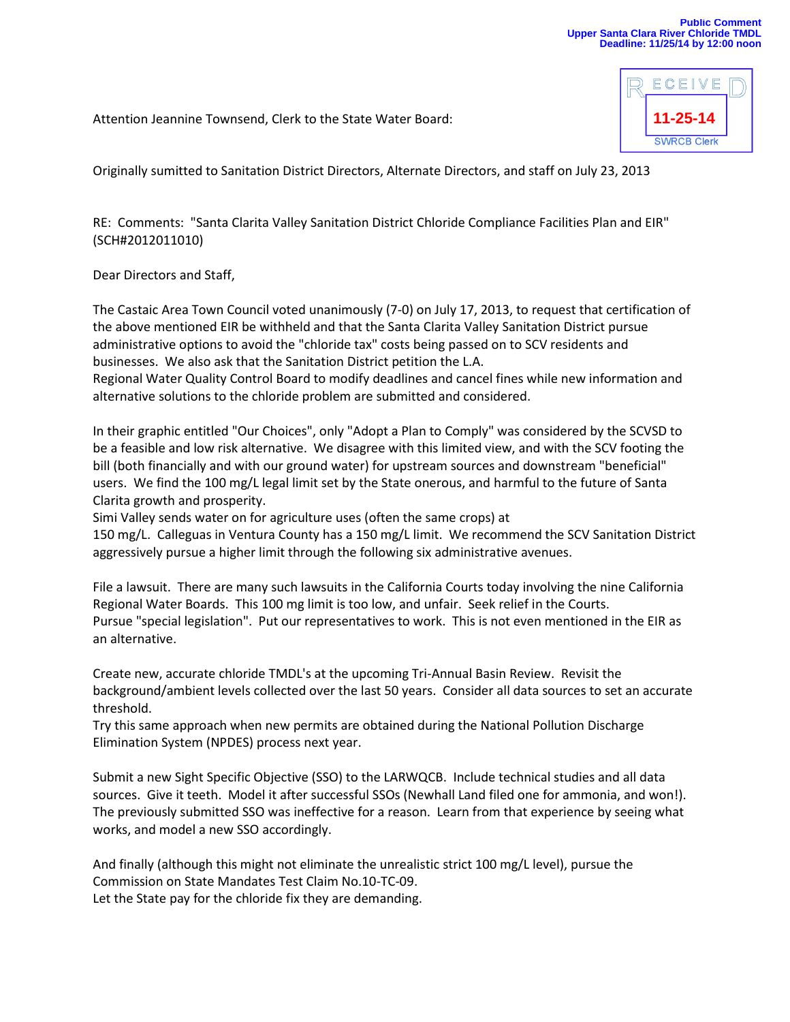**11-25-14**

**SWRCB Clerk** 

ECEIV

Attention Jeannine Townsend, Clerk to the State Water Board:

Originally sumitted to Sanitation District Directors, Alternate Directors, and staff on July 23, 2013

RE: Comments: "Santa Clarita Valley Sanitation District Chloride Compliance Facilities Plan and EIR" (SCH#2012011010)

Dear Directors and Staff,

The Castaic Area Town Council voted unanimously (7-0) on July 17, 2013, to request that certification of the above mentioned EIR be withheld and that the Santa Clarita Valley Sanitation District pursue administrative options to avoid the "chloride tax" costs being passed on to SCV residents and businesses. We also ask that the Sanitation District petition the L.A.

Regional Water Quality Control Board to modify deadlines and cancel fines while new information and alternative solutions to the chloride problem are submitted and considered.

In their graphic entitled "Our Choices", only "Adopt a Plan to Comply" was considered by the SCVSD to be a feasible and low risk alternative. We disagree with this limited view, and with the SCV footing the bill (both financially and with our ground water) for upstream sources and downstream "beneficial" users. We find the 100 mg/L legal limit set by the State onerous, and harmful to the future of Santa Clarita growth and prosperity.

Simi Valley sends water on for agriculture uses (often the same crops) at

150 mg/L. Calleguas in Ventura County has a 150 mg/L limit. We recommend the SCV Sanitation District aggressively pursue a higher limit through the following six administrative avenues.

File a lawsuit. There are many such lawsuits in the California Courts today involving the nine California Regional Water Boards. This 100 mg limit is too low, and unfair. Seek relief in the Courts. Pursue "special legislation". Put our representatives to work. This is not even mentioned in the EIR as an alternative.

Create new, accurate chloride TMDL's at the upcoming Tri-Annual Basin Review. Revisit the background/ambient levels collected over the last 50 years. Consider all data sources to set an accurate threshold.

Try this same approach when new permits are obtained during the National Pollution Discharge Elimination System (NPDES) process next year.

Submit a new Sight Specific Objective (SSO) to the LARWQCB. Include technical studies and all data sources. Give it teeth. Model it after successful SSOs (Newhall Land filed one for ammonia, and won!). The previously submitted SSO was ineffective for a reason. Learn from that experience by seeing what works, and model a new SSO accordingly.

And finally (although this might not eliminate the unrealistic strict 100 mg/L level), pursue the Commission on State Mandates Test Claim No.10-TC-09. Let the State pay for the chloride fix they are demanding.